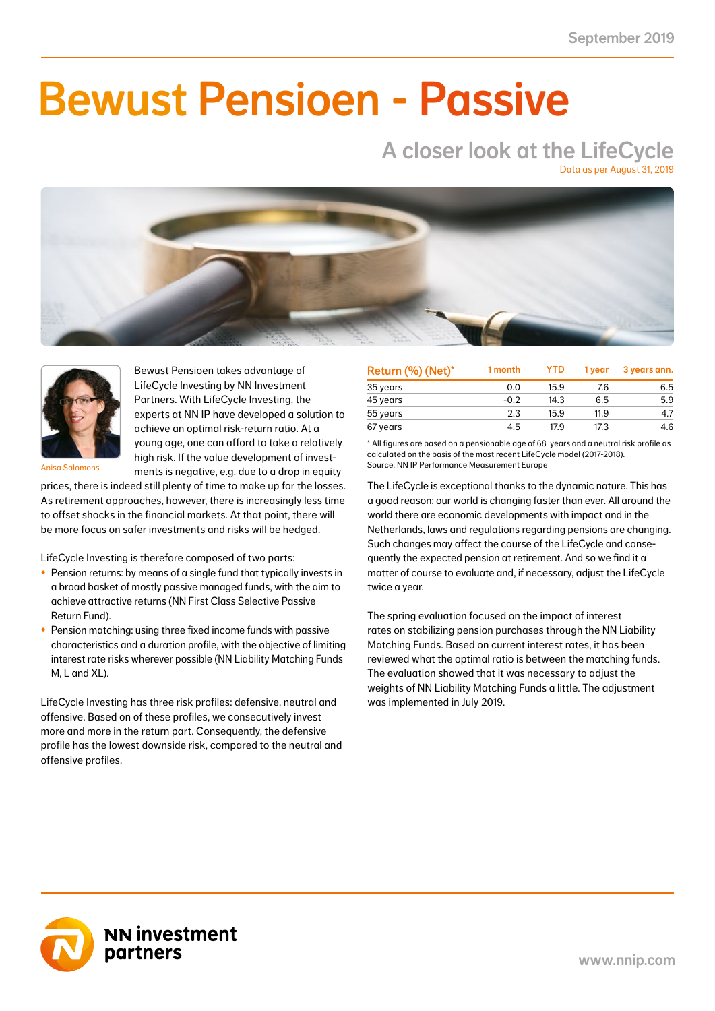NN First Class Selective Passive Return Fund -1.14 -0.47 14.01 5.73 4.68 2.05 6.49 2.47 20.77 7.76 41.0

### NN Liability Matching Fund M 0.90 0.34 3.47 1.39 4.00 1.58 1.03 0.39 3.13 1.21 38.0  $\blacksquare$  IIMAAILIA NN Liability Matching Fund XL 21.06 2.38 71.57 6.80 78.76 7.11 10.11 1.30 33.51 4.10 11.0 Bewust Pensioen - Passive

### A closer look at the LifeCycle Data as per August 31, 2019





Bewust Pensioen takes advantage of LifeCycle Investing by NN Investment Partners. With LifeCycle Investing, the experts at NN IP have developed a solution to achieve an optimal risk-return ratio. At a young age, one can afford to take a relatively high risk. If the value development of investments is negative, e.g. due to a drop in equity

Anisa Salomons

prices, there is indeed still plenty of time to make up for the losses. As retirement approaches, however, there is increasingly less time to offset shocks in the financial markets. At that point, there will be more focus on safer investments and risks will be hedged.

LifeCycle Investing is therefore composed of two parts:

- Pension returns: by means of a single fund that typically invests in a broad basket of mostly passive managed funds, with the aim to achieve attractive returns (NN First Class Selective Passive Return Fund).
- Pension matching: using three fixed income funds with passive characteristics and a duration profile, with the objective of limiting interest rate risks wherever possible (NN Liability Matching Funds M, L and XL).

LifeCycle Investing has three risk profiles: defensive, neutral and offensive. Based on of these profiles, we consecutively invest more and more in the return part. Consequently, the defensive profile has the lowest downside risk, compared to the neutral and offensive profiles.

| Return (%) (Net)* | 1 month | <b>YTD</b> | 1 vear | 3 years ann. |
|-------------------|---------|------------|--------|--------------|
| 35 years          | 0.0     | 15.9       | 7.6    | 6.5          |
| 45 years          | $-0.2$  | 14.3       | 6.5    | 5.9          |
| 55 years          | 2.3     | 15.9       | 11.9   | 4.7          |
| 67 years          | 4.5     | 17.9       | 17.3   | 4.6          |

\* All figures are based on a pensionable age of 68 years and a neutral risk profile as calculated on the basis of the most recent LifeCycle model (2017-2018). Source: NN IP Performance Measurement Europe

The LifeCycle is exceptional thanks to the dynamic nature. This has a good reason: our world is changing faster than ever. All around the world there are economic developments with impact and in the Netherlands, laws and regulations regarding pensions are changing. Such changes may affect the course of the LifeCycle and consequently the expected pension at retirement. And so we find it a matter of course to evaluate and, if necessary, adjust the LifeCycle twice a year.

The spring evaluation focused on the impact of interest rates on stabilizing pension purchases through the NN Liability Matching Funds. Based on current interest rates, it has been reviewed what the optimal ratio is between the matching funds. The evaluation showed that it was necessary to adjust the weights of NN Liability Matching Funds a little. The adjustment was implemented in July 2019.

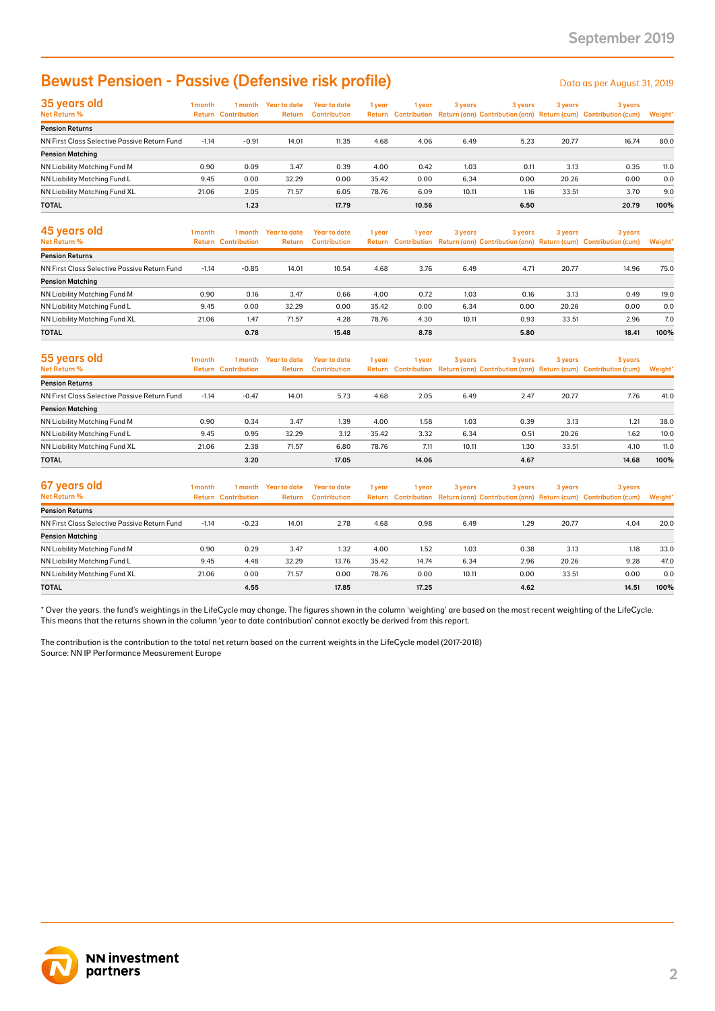### Bewust Pensioen - Passive (Defensive risk profile)

| 35 years old<br>Net Return %                 | 1 month | 1 month                    | Year to date  | Year to date        | 1 year | 1 year | 3 years | 3 years |       | 3 years                                                                             | 3 years |  |
|----------------------------------------------|---------|----------------------------|---------------|---------------------|--------|--------|---------|---------|-------|-------------------------------------------------------------------------------------|---------|--|
|                                              |         | <b>Return Contribution</b> | <b>Return</b> | <b>Contribution</b> |        |        |         |         |       | Return Contribution Return (ann) Contribution (ann) Return (cum) Contribution (cum) | Weight* |  |
| <b>Pension Returns</b>                       |         |                            |               |                     |        |        |         |         |       |                                                                                     |         |  |
| NN First Class Selective Passive Return Fund | $-1.14$ | $-0.91$                    | 14.01         | 11.35               | 4.68   | 4.06   | 6.49    | 5.23    | 20.77 | 16.74                                                                               | 80.0    |  |
| <b>Pension Matching</b>                      |         |                            |               |                     |        |        |         |         |       |                                                                                     |         |  |
| NN Liability Matching Fund M                 | 0.90    | 0.09                       | 3.47          | 0.39                | 4.00   | 0.42   | 1.03    | 0.11    | 3.13  | 0.35                                                                                | 11.0    |  |
| NN Liability Matching Fund L                 | 9.45    | 0.00                       | 32.29         | 0.00                | 35.42  | 0.00   | 6.34    | 0.00    | 20.26 | 0.00                                                                                | 0.0     |  |
| NN Liability Matching Fund XL                | 21.06   | 2.05                       | 71.57         | 6.05                | 78.76  | 6.09   | 10.11   | 1.16    | 33.51 | 3.70                                                                                | 9.0     |  |
| <b>TOTAL</b>                                 |         | 1.23                       |               | 17.79               |        | 10.56  |         | 6.50    |       | 20.79                                                                               | 100%    |  |

| <b>Bewust Pensioen - Passive (Defensive risk profile)</b>                                                                                                                                                                                                                                               |         |                                       |                                |                                            |        |        |         |         |         | Data as per August 31, 2019                                                                    |         |
|---------------------------------------------------------------------------------------------------------------------------------------------------------------------------------------------------------------------------------------------------------------------------------------------------------|---------|---------------------------------------|--------------------------------|--------------------------------------------|--------|--------|---------|---------|---------|------------------------------------------------------------------------------------------------|---------|
| 35 years old<br>Net Return %                                                                                                                                                                                                                                                                            | 1 month | <b>Return Contribution</b>            | 1 month Year to date<br>Return | <b>Year to date</b><br><b>Contribution</b> | 1 year | 1 year | 3 years | 3 years | 3 years | 3 years<br>Return Contribution Return (ann) Contribution (ann) Return (cum) Contribution (cum) | Weight' |
| <b>Pension Returns</b>                                                                                                                                                                                                                                                                                  |         |                                       |                                |                                            |        |        |         |         |         |                                                                                                |         |
| NN First Class Selective Passive Return Fund                                                                                                                                                                                                                                                            | $-1.14$ | $-0.91$                               | 14.01                          | 11.35                                      | 4.68   | 4.06   | 6.49    | 5.23    | 20.77   | 16.74                                                                                          | 80.0    |
| <b>Pension Matching</b>                                                                                                                                                                                                                                                                                 |         |                                       |                                |                                            |        |        |         |         |         |                                                                                                |         |
| NN Liability Matching Fund M                                                                                                                                                                                                                                                                            | 0.90    | 0.09                                  | 3.47                           | 0.39                                       | 4.00   | 0.42   | 1.03    | 0.11    | 3.13    | 0.35                                                                                           | 11.0    |
| NN Liability Matching Fund L                                                                                                                                                                                                                                                                            | 9.45    | 0.00                                  | 32.29                          | 0.00                                       | 35.42  | 0.00   | 6.34    | 0.00    | 20.26   | 0.00                                                                                           | 0.0     |
| NN Liability Matching Fund XL                                                                                                                                                                                                                                                                           | 21.06   | 2.05                                  | 71.57                          | 6.05                                       | 78.76  | 6.09   | 10.11   | 1.16    | 33.51   | 3.70                                                                                           | 9.0     |
| <b>TOTAL</b>                                                                                                                                                                                                                                                                                            |         | 1.23                                  |                                | 17.79                                      |        | 10.56  |         | 6.50    |         | 20.79                                                                                          | 100%    |
| 45 years old<br>Net Return %                                                                                                                                                                                                                                                                            | 1 month | 1 month<br><b>Return Contribution</b> | <b>Year to date</b><br>Return  | <b>Year to date</b><br><b>Contribution</b> | 1 year | 1 year | 3 years | 3 years | 3 years | 3 years<br>Return Contribution Return (ann) Contribution (ann) Return (cum) Contribution (cum) | Weight' |
| <b>Pension Returns</b>                                                                                                                                                                                                                                                                                  |         |                                       |                                |                                            |        |        |         |         |         |                                                                                                |         |
| NN First Class Selective Passive Return Fund                                                                                                                                                                                                                                                            | $-1.14$ | $-0.85$                               | 14.01                          | 10.54                                      | 4.68   | 3.76   | 6.49    | 4.71    | 20.77   | 14.96                                                                                          | 75.0    |
| <b>Pension Matching</b>                                                                                                                                                                                                                                                                                 |         |                                       |                                |                                            |        |        |         |         |         |                                                                                                |         |
| NN Liability Matching Fund M                                                                                                                                                                                                                                                                            | 0.90    | 0.16                                  | 3.47                           | 0.66                                       | 4.00   | 0.72   | 1.03    | 0.16    | 3.13    | 0.49                                                                                           | 19.0    |
| NN Liability Matching Fund L                                                                                                                                                                                                                                                                            | 9.45    | 0.00                                  | 32.29                          | 0.00                                       | 35.42  | 0.00   | 6.34    | 0.00    | 20.26   | 0.00                                                                                           | 0.0     |
| NN Liability Matching Fund XL                                                                                                                                                                                                                                                                           | 21.06   | 1.47                                  | 71.57                          | 4.28                                       | 78.76  | 4.30   | 10.11   | 0.93    | 33.51   | 2.96                                                                                           | 7.0     |
| <b>TOTAL</b>                                                                                                                                                                                                                                                                                            |         | 0.78                                  |                                | 15.48                                      |        | 8.78   |         | 5.80    |         | 18.41                                                                                          | 100%    |
| 55 years old<br>Net Return %                                                                                                                                                                                                                                                                            | 1 month | 1 month<br><b>Return Contribution</b> | <b>Year to date</b><br>Return  | <b>Year to date</b><br><b>Contribution</b> | 1 year | 1 year | 3 years | 3 years | 3 years | 3 years<br>Return Contribution Return (ann) Contribution (ann) Return (cum) Contribution (cum) | Weight* |
| <b>Pension Returns</b>                                                                                                                                                                                                                                                                                  |         |                                       |                                |                                            |        |        |         |         |         |                                                                                                |         |
| NN First Class Selective Passive Return Fund                                                                                                                                                                                                                                                            | $-1.14$ | $-0.47$                               | 14.01                          | 5.73                                       | 4.68   | 2.05   | 6.49    | 2.47    | 20.77   | 7.76                                                                                           | 41.0    |
| <b>Pension Matching</b>                                                                                                                                                                                                                                                                                 |         |                                       |                                |                                            |        |        |         |         |         |                                                                                                |         |
| NN Liability Matching Fund M                                                                                                                                                                                                                                                                            | 0.90    | 0.34                                  | 3.47                           | 1.39                                       | 4.00   | 1.58   | 1.03    | 0.39    | 3.13    | 1.21                                                                                           | 38.0    |
| NN Liability Matching Fund L                                                                                                                                                                                                                                                                            | 9.45    | 0.95                                  | 32.29                          | 3.12                                       | 35.42  | 3.32   | 6.34    | 0.51    | 20.26   | 1.62                                                                                           | 10.0    |
| NN Liability Matching Fund XL                                                                                                                                                                                                                                                                           | 21.06   | 2.38                                  | 71.57                          | 6.80                                       | 78.76  | 7.11   | 10.11   | 1.30    | 33.51   | 4.10                                                                                           | 11.0    |
| <b>TOTAL</b>                                                                                                                                                                                                                                                                                            |         | 3.20                                  |                                | 17.05                                      |        | 14.06  |         | 4.67    |         | 14.68                                                                                          | 100%    |
|                                                                                                                                                                                                                                                                                                         |         |                                       |                                |                                            |        |        |         |         |         |                                                                                                |         |
| 67 years old<br>Net Return %                                                                                                                                                                                                                                                                            | 1 month | 1 month<br><b>Return Contribution</b> | <b>Year to date</b><br>Return  | <b>Year to date</b><br><b>Contribution</b> | 1 year | 1 year | 3 years | 3 years | 3 years | 3 years<br>Return Contribution Return (ann) Contribution (ann) Return (cum) Contribution (cum) | Weight' |
| <b>Pension Returns</b>                                                                                                                                                                                                                                                                                  |         |                                       |                                |                                            |        |        |         |         |         |                                                                                                |         |
| NN First Class Selective Passive Return Fund                                                                                                                                                                                                                                                            | $-1.14$ | $-0.23$                               | 14.01                          | 2.78                                       | 4.68   | 0.98   | 6.49    | 1.29    | 20.77   | 4.04                                                                                           | 20.0    |
| <b>Pension Matching</b>                                                                                                                                                                                                                                                                                 |         |                                       |                                |                                            |        |        |         |         |         |                                                                                                |         |
| NN Liability Matching Fund M                                                                                                                                                                                                                                                                            | 0.90    | 0.29                                  | 3.47                           | 1.32                                       | 4.00   | 1.52   | 1.03    | 0.38    | 3.13    | 1.18                                                                                           | 33.0    |
| NN Liability Matching Fund L                                                                                                                                                                                                                                                                            | 9.45    | 4.48                                  | 32.29                          | 13.76                                      | 35.42  | 14.74  | 6.34    | 2.96    | 20.26   | 9.28                                                                                           | 47.0    |
| NN Liability Matching Fund XL                                                                                                                                                                                                                                                                           | 21.06   | 0.00                                  | 71.57                          | 0.00                                       | 78.76  | 0.00   | 10.11   | 0.00    | 33.51   | 0.00                                                                                           | 0.0     |
| <b>TOTAL</b>                                                                                                                                                                                                                                                                                            |         | 4.55                                  |                                | 17.85                                      |        | 17.25  |         | 4.62    |         | 14.51                                                                                          | 100%    |
| This means that the returns shown in the column 'year to date contribution' cannot exactly be derived from this report.<br>The contribution is the contribution to the total net return based on the current weights in the LifeCycle model (2017-2018)<br>Source: NN IP Performance Measurement Europe |         |                                       |                                |                                            |        |        |         |         |         |                                                                                                |         |
| <b>NN investment</b><br>partners                                                                                                                                                                                                                                                                        |         |                                       |                                |                                            |        |        |         |         |         |                                                                                                |         |

| 55 years old                                 | 1 month | 1 month             | <b>Year to date</b> | Year to date        | 1 year | l year | 3 years | 3 years | 3 years | 3 years                                                                             |         |
|----------------------------------------------|---------|---------------------|---------------------|---------------------|--------|--------|---------|---------|---------|-------------------------------------------------------------------------------------|---------|
| Net Return %                                 | Return  | <b>Contribution</b> | <b>Return</b>       | <b>Contribution</b> |        |        |         |         |         | Return Contribution Return (ann) Contribution (ann) Return (cum) Contribution (cum) | Weight* |
| <b>Pension Returns</b>                       |         |                     |                     |                     |        |        |         |         |         |                                                                                     |         |
| NN First Class Selective Passive Return Fund | $-1.14$ | $-0.47$             | 14.01               | 5.73                | 4.68   | 2.05   | 6.49    | 2.47    | 20.77   | 7.76                                                                                | 41.0    |
| <b>Pension Matching</b>                      |         |                     |                     |                     |        |        |         |         |         |                                                                                     |         |
| NN Liability Matching Fund M                 | 0.90    | 0.34                | 3.47                | 1.39                | 4.00   | 1.58   | 1.03    | 0.39    | 3.13    | 1.21                                                                                | 38.0    |
| NN Liability Matching Fund L                 | 9.45    | 0.95                | 32.29               | 3.12                | 35.42  | 3.32   | 6.34    | 0.51    | 20.26   | 1.62                                                                                | 10.0    |
| NN Liability Matching Fund XL                | 21.06   | 2.38                | 71.57               | 6.80                | 78.76  | 7.11   | 10.11   | 1.30    | 33.51   | 4.10                                                                                | 11.0    |
| <b>TOTAL</b>                                 |         | 3.20                |                     | 17.05               |        | 14.06  |         | 4.67    |         | 14.68                                                                               | 100%    |

| 67 years old<br>Net Return %                 | 1 month | 1 month                    | Year to date | Year to date        | 1 year | 1 year | 3 years |      | 3 years<br>Return Contribution Return (ann) Contribution (ann) Return (cum) Contribution (cum) | 3 years | 3 years |  |
|----------------------------------------------|---------|----------------------------|--------------|---------------------|--------|--------|---------|------|------------------------------------------------------------------------------------------------|---------|---------|--|
|                                              |         | <b>Return Contribution</b> | Return       | <b>Contribution</b> |        |        |         |      |                                                                                                |         | Weight* |  |
| <b>Pension Returns</b>                       |         |                            |              |                     |        |        |         |      |                                                                                                |         |         |  |
| NN First Class Selective Passive Return Fund | $-1.14$ | $-0.23$                    | 14.01        | 2.78                | 4.68   | 0.98   | 6.49    | 1.29 | 20.77                                                                                          | 4.04    | 20.0    |  |
| <b>Pension Matching</b>                      |         |                            |              |                     |        |        |         |      |                                                                                                |         |         |  |
| NN Liability Matching Fund M                 | 0.90    | 0.29                       | 3.47         | 1.32                | 4.00   | 1.52   | 1.03    | 0.38 | 3.13                                                                                           | 1.18    | 33.0    |  |
| NN Liability Matching Fund L                 | 9.45    | 4.48                       | 32.29        | 13.76               | 35.42  | 14.74  | 6.34    | 2.96 | 20.26                                                                                          | 9.28    | 47.0    |  |
| NN Liability Matching Fund XL                | 21.06   | 0.00                       | 71.57        | 0.00                | 78.76  | 0.00   | 10.11   | 0.00 | 33.51                                                                                          | 0.00    | 0.0     |  |
| <b>TOTAL</b>                                 |         | 4.55                       |              | 17.85               |        | 17.25  |         | 4.62 |                                                                                                | 14.51   | 100%    |  |

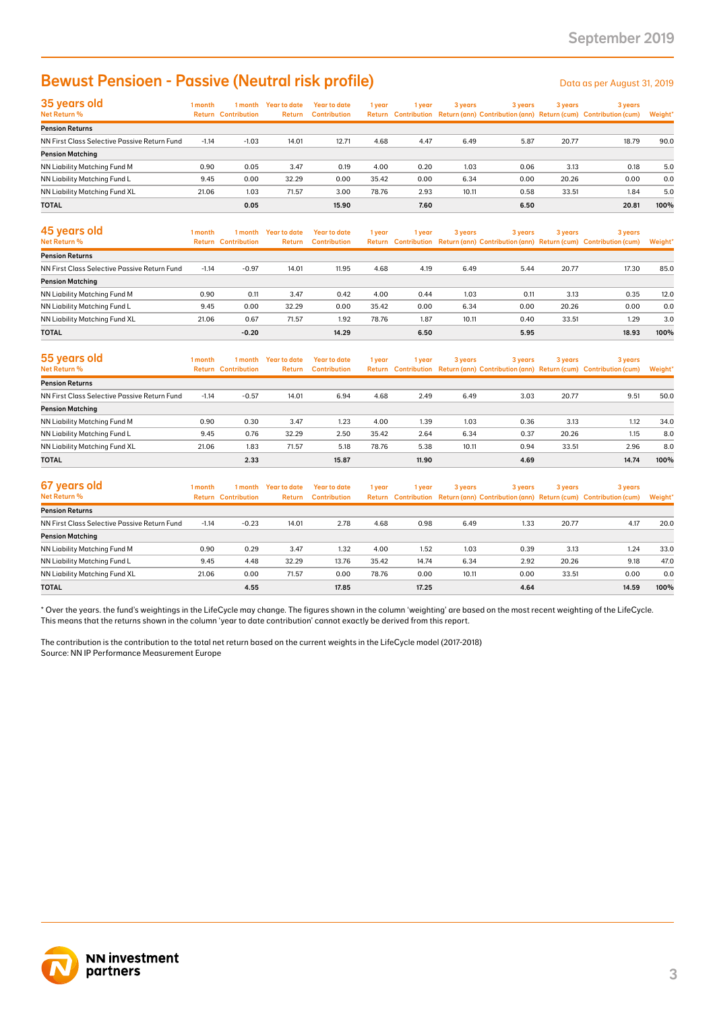# **Bewust Pensioen - Passive (Neutral risk profile)** Detailled a Data as per August 31, 2019

| <b>Bewust Pensioen - Passive (Neutral risk profile)</b>                                                                                                                                                                                                                                                 |         |                                       |                                |                                            |        |        |         |         |         | Data as per August 31, 2019                                                                    |         |
|---------------------------------------------------------------------------------------------------------------------------------------------------------------------------------------------------------------------------------------------------------------------------------------------------------|---------|---------------------------------------|--------------------------------|--------------------------------------------|--------|--------|---------|---------|---------|------------------------------------------------------------------------------------------------|---------|
| 35 years old<br>Net Return %                                                                                                                                                                                                                                                                            | 1 month | <b>Return Contribution</b>            | 1 month Year to date<br>Return | <b>Year to date</b><br><b>Contribution</b> | 1 year | 1 year | 3 years | 3 years | 3 years | 3 years<br>Return Contribution Return (ann) Contribution (ann) Return (cum) Contribution (cum) | Weight' |
| <b>Pension Returns</b>                                                                                                                                                                                                                                                                                  |         |                                       |                                |                                            |        |        |         |         |         |                                                                                                |         |
| NN First Class Selective Passive Return Fund<br><b>Pension Matching</b>                                                                                                                                                                                                                                 | $-1.14$ | $-1.03$                               | 14.01                          | 12.71                                      | 4.68   | 4.47   | 6.49    | 5.87    | 20.77   | 18.79                                                                                          | 90.0    |
| NN Liability Matching Fund M                                                                                                                                                                                                                                                                            | 0.90    | 0.05                                  | 3.47                           | 0.19                                       | 4.00   | 0.20   | 1.03    | 0.06    | 3.13    | 0.18                                                                                           | 5.0     |
| NN Liability Matching Fund L                                                                                                                                                                                                                                                                            | 9.45    | 0.00                                  | 32.29                          | 0.00                                       | 35.42  | 0.00   | 6.34    | 0.00    | 20.26   | 0.00                                                                                           | 0.0     |
| NN Liability Matching Fund XL                                                                                                                                                                                                                                                                           | 21.06   | 1.03                                  | 71.57                          | 3.00                                       | 78.76  | 2.93   | 10.11   | 0.58    | 33.51   | 1.84                                                                                           | 5.0     |
| TOTAL                                                                                                                                                                                                                                                                                                   |         | 0.05                                  |                                | 15.90                                      |        | 7.60   |         | 6.50    |         | 20.81                                                                                          | 100%    |
| 45 years old<br>Net Return %                                                                                                                                                                                                                                                                            | 1 month | 1 month<br><b>Return Contribution</b> | <b>Year to date</b><br>Return  | <b>Year to date</b><br><b>Contribution</b> | 1 year | 1 year | 3 years | 3 years | 3 years | 3 years<br>Return Contribution Return (ann) Contribution (ann) Return (cum) Contribution (cum) | Weight' |
| <b>Pension Returns</b>                                                                                                                                                                                                                                                                                  |         |                                       |                                |                                            |        |        |         |         |         |                                                                                                |         |
| NN First Class Selective Passive Return Fund                                                                                                                                                                                                                                                            | $-1.14$ | $-0.97$                               | 14.01                          | 11.95                                      | 4.68   | 4.19   | 6.49    | 5.44    | 20.77   | 17.30                                                                                          | 85.0    |
| <b>Pension Matching</b>                                                                                                                                                                                                                                                                                 |         |                                       |                                |                                            |        |        |         |         |         |                                                                                                |         |
| NN Liability Matching Fund M                                                                                                                                                                                                                                                                            | 0.90    | 0.11                                  | 3.47                           | 0.42                                       | 4.00   | 0.44   | 1.03    | 0.11    | 3.13    | 0.35                                                                                           | 12.0    |
| NN Liability Matching Fund L                                                                                                                                                                                                                                                                            | 9.45    | 0.00                                  | 32.29                          | 0.00                                       | 35.42  | 0.00   | 6.34    | 0.00    | 20.26   | 0.00                                                                                           | 0.0     |
| NN Liability Matching Fund XL                                                                                                                                                                                                                                                                           | 21.06   | 0.67                                  | 71.57                          | 1.92                                       | 78.76  | 1.87   | 10.11   | 0.40    | 33.51   | 1.29                                                                                           | 3.0     |
| <b>TOTAL</b>                                                                                                                                                                                                                                                                                            |         | $-0.20$                               |                                | 14.29                                      |        | 6.50   |         | 5.95    |         | 18.93                                                                                          | 100%    |
| 55 years old<br>Net Return %                                                                                                                                                                                                                                                                            | 1 month | 1 month<br><b>Return Contribution</b> | <b>Year to date</b><br>Return  | <b>Year to date</b><br><b>Contribution</b> | 1 year | 1 year | 3 years | 3 years | 3 years | 3 years<br>Return Contribution Return (ann) Contribution (ann) Return (cum) Contribution (cum) | Weight* |
| <b>Pension Returns</b>                                                                                                                                                                                                                                                                                  |         |                                       |                                |                                            |        |        |         |         |         |                                                                                                |         |
| NN First Class Selective Passive Return Fund                                                                                                                                                                                                                                                            | $-1.14$ | $-0.57$                               | 14.01                          | 6.94                                       | 4.68   | 2.49   | 6.49    | 3.03    | 20.77   | 9.51                                                                                           | 50.0    |
| <b>Pension Matching</b>                                                                                                                                                                                                                                                                                 |         |                                       |                                |                                            |        |        |         |         |         |                                                                                                |         |
| NN Liability Matching Fund M                                                                                                                                                                                                                                                                            | 0.90    | 0.30                                  | 3.47                           | 1.23                                       | 4.00   | 1.39   | 1.03    | 0.36    | 3.13    | 1.12                                                                                           | 34.0    |
| NN Liability Matching Fund L                                                                                                                                                                                                                                                                            | 9.45    | 0.76                                  | 32.29                          | 2.50                                       | 35.42  | 2.64   | 6.34    | 0.37    | 20.26   | 1.15                                                                                           | 8.0     |
| NN Liability Matching Fund XL                                                                                                                                                                                                                                                                           | 21.06   | 1.83                                  | 71.57                          | 5.18                                       | 78.76  | 5.38   | 10.11   | 0.94    | 33.51   | 2.96                                                                                           | 8.0     |
| <b>TOTAL</b>                                                                                                                                                                                                                                                                                            |         | 2.33                                  |                                | 15.87                                      |        | 11.90  |         | 4.69    |         | 14.74                                                                                          | 100%    |
| 67 years old<br>Net Return %                                                                                                                                                                                                                                                                            | 1 month | 1 month<br><b>Return Contribution</b> | <b>Year to date</b><br>Return  | <b>Year to date</b><br><b>Contribution</b> | 1 year | 1 year | 3 years | 3 years | 3 years | 3 years<br>Return Contribution Return (ann) Contribution (ann) Return (cum) Contribution (cum) | Weight* |
| <b>Pension Returns</b>                                                                                                                                                                                                                                                                                  |         |                                       |                                |                                            |        |        |         |         |         |                                                                                                |         |
| NN First Class Selective Passive Return Fund                                                                                                                                                                                                                                                            | $-1.14$ | $-0.23$                               | 14.01                          | 2.78                                       | 4.68   | 0.98   | 6.49    | 1.33    | 20.77   | 4.17                                                                                           | 20.0    |
| <b>Pension Matching</b>                                                                                                                                                                                                                                                                                 |         |                                       |                                |                                            |        |        |         |         |         |                                                                                                |         |
| NN Liability Matching Fund M                                                                                                                                                                                                                                                                            | 0.90    | 0.29                                  | 3.47                           | 1.32                                       | 4.00   | 1.52   | 1.03    | 0.39    | 3.13    | 1.24                                                                                           | 33.0    |
| NN Liability Matching Fund L                                                                                                                                                                                                                                                                            | 9.45    | 4.48                                  | 32.29                          | 13.76                                      | 35.42  | 14.74  | 6.34    | 2.92    | 20.26   | 9.18                                                                                           | 47.0    |
| NN Liability Matching Fund XL                                                                                                                                                                                                                                                                           | 21.06   | 0.00                                  | 71.57                          | 0.00                                       | 78.76  | 0.00   | 10.11   | 0.00    | 33.51   | 0.00                                                                                           | 0.0     |
| TOTAL                                                                                                                                                                                                                                                                                                   |         | 4.55                                  |                                | 17.85                                      |        | 17.25  |         | 4.64    |         | 14.59                                                                                          | 100%    |
| This means that the returns shown in the column 'year to date contribution' cannot exactly be derived from this report.<br>The contribution is the contribution to the total net return based on the current weights in the LifeCycle model (2017-2018)<br>Source: NN IP Performance Measurement Europe |         |                                       |                                |                                            |        |        |         |         |         |                                                                                                |         |
| <b>NN investment</b><br>partners                                                                                                                                                                                                                                                                        |         |                                       |                                |                                            |        |        |         |         |         |                                                                                                |         |

| 45 years old<br>Net Return %                 | 1 month | 1 month<br><b>Return Contribution</b> | Year to date<br><b>Return</b> | Year to date<br><b>Contribution</b> | 1 year | l vear | 3 years | 3 years | Return Contribution Return (ann) Contribution (ann) Return (cum) Contribution (cum) |       | 3 years | 3 years | Weight* |
|----------------------------------------------|---------|---------------------------------------|-------------------------------|-------------------------------------|--------|--------|---------|---------|-------------------------------------------------------------------------------------|-------|---------|---------|---------|
| <b>Pension Returns</b>                       |         |                                       |                               |                                     |        |        |         |         |                                                                                     |       |         |         |         |
|                                              |         |                                       |                               |                                     |        |        |         |         |                                                                                     |       |         |         |         |
| NN First Class Selective Passive Return Fund | $-1.14$ | $-0.97$                               | 14.01                         | 11.95                               | 4.68   | 4.19   | 6.49    | 5.44    | 20.77                                                                               | 17.30 | 85.0    |         |         |
| <b>Pension Matching</b>                      |         |                                       |                               |                                     |        |        |         |         |                                                                                     |       |         |         |         |
| NN Liability Matching Fund M                 | 0.90    | 0.11                                  | 3.47                          | 0.42                                | 4.00   | 0.44   | 1.03    | 0.11    | 3.13                                                                                | 0.35  | 12.0    |         |         |
| NN Liability Matching Fund L                 | 9.45    | 0.00                                  | 32.29                         | 0.00                                | 35.42  | 0.00   | 6.34    | 0.00    | 20.26                                                                               | 0.00  | 0.0     |         |         |
| NN Liability Matching Fund XL                | 21.06   | 0.67                                  | 71.57                         | 1.92                                | 78.76  | 1.87   | 10.11   | 0.40    | 33.51                                                                               | 1.29  | 3.0     |         |         |
| <b>TOTAL</b>                                 |         | $-0.20$                               |                               | 14.29                               |        | 6.50   |         | 5.95    |                                                                                     | 18.93 | 100%    |         |         |

| 55 years old                                 | 1 month | 1 month             | <b>Year to date</b> | Year to date        | 1 year | l year | 3 years | 3 years | 3 years | 3 years                                                                             |         |
|----------------------------------------------|---------|---------------------|---------------------|---------------------|--------|--------|---------|---------|---------|-------------------------------------------------------------------------------------|---------|
| Net Return %                                 | Return  | <b>Contribution</b> | <b>Return</b>       | <b>Contribution</b> |        |        |         |         |         | Return Contribution Return (ann) Contribution (ann) Return (cum) Contribution (cum) | Weight* |
| <b>Pension Returns</b>                       |         |                     |                     |                     |        |        |         |         |         |                                                                                     |         |
| NN First Class Selective Passive Return Fund | $-1.14$ | $-0.57$             | 14.01               | 6.94                | 4.68   | 2.49   | 6.49    | 3.03    | 20.77   | 9.51                                                                                | 50.0    |
| <b>Pension Matching</b>                      |         |                     |                     |                     |        |        |         |         |         |                                                                                     |         |
| NN Liability Matching Fund M                 | 0.90    | 0.30                | 3.47                | 1.23                | 4.00   | 1.39   | 1.03    | 0.36    | 3.13    | 1.12                                                                                | 34.0    |
| NN Liability Matching Fund L                 | 9.45    | 0.76                | 32.29               | 2.50                | 35.42  | 2.64   | 6.34    | 0.37    | 20.26   | 1.15                                                                                | 8.0     |
| NN Liability Matching Fund XL                | 21.06   | 1.83                | 71.57               | 5.18                | 78.76  | 5.38   | 10.11   | 0.94    | 33.51   | 2.96                                                                                | 8.0     |
| <b>TOTAL</b>                                 |         | 2.33                |                     | 15.87               |        | 11.90  |         | 4.69    |         | 14.74                                                                               | 100%    |

| 67 years old<br>Net Return %                 | 1 month | 1 month                    | Year to date | Year to date        | 1 year | 1 year | 3 years | 3 years | Return Contribution Return (ann) Contribution (ann) Return (cum) Contribution (cum) | 3 years | 3 years |  |
|----------------------------------------------|---------|----------------------------|--------------|---------------------|--------|--------|---------|---------|-------------------------------------------------------------------------------------|---------|---------|--|
|                                              |         | <b>Return Contribution</b> | Return       | <b>Contribution</b> |        |        |         |         |                                                                                     |         | Weight* |  |
| <b>Pension Returns</b>                       |         |                            |              |                     |        |        |         |         |                                                                                     |         |         |  |
| NN First Class Selective Passive Return Fund | $-1.14$ | $-0.23$                    | 14.01        | 2.78                | 4.68   | 0.98   | 6.49    | 1.33    | 20.77                                                                               | 4.17    | 20.0    |  |
| <b>Pension Matching</b>                      |         |                            |              |                     |        |        |         |         |                                                                                     |         |         |  |
| NN Liability Matching Fund M                 | 0.90    | 0.29                       | 3.47         | 1.32                | 4.00   | 1.52   | 1.03    | 0.39    | 3.13                                                                                | 1.24    | 33.0    |  |
| NN Liability Matching Fund L                 | 9.45    | 4.48                       | 32.29        | 13.76               | 35.42  | 14.74  | 6.34    | 2.92    | 20.26                                                                               | 9.18    | 47.0    |  |
| NN Liability Matching Fund XL                | 21.06   | 0.00                       | 71.57        | 0.00                | 78.76  | 0.00   | 10.11   | 0.00    | 33.51                                                                               | 0.00    | 0.0     |  |
| <b>TOTAL</b>                                 |         | 4.55                       |              | 17.85               |        | 17.25  |         | 4.64    |                                                                                     | 14.59   | 100%    |  |